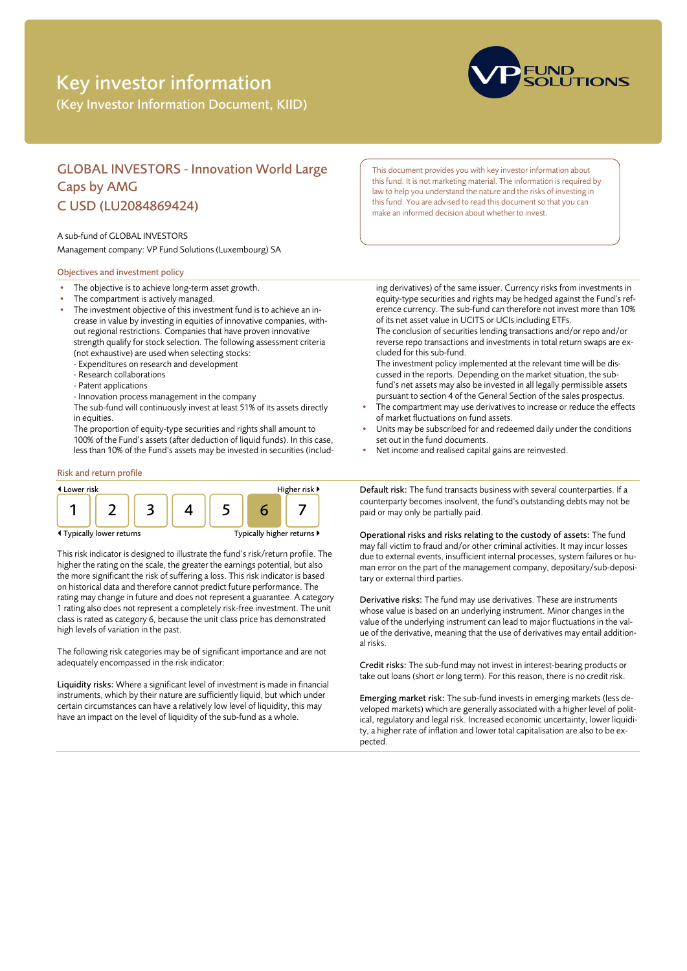# Key investor information

(Key Investor Information Document, KIID)



# GLOBAL INVESTORS - Innovation World Large Caps by AMG C USD (LU2084869424)

#### A sub-fund of GLOBAL INVESTORS

Management company: VP Fund Solutions (Luxembourg) SA

## Objectives and investment policy

- The objective is to achieve long-term asset growth.
- The compartment is actively managed.
- The investment objective of this investment fund is to achieve an increase in value by investing in equities of innovative companies, without regional restrictions. Companies that have proven innovative strength qualify for stock selection. The following assessment criteria (not exhaustive) are used when selecting stocks:
	- Expenditures on research and development
	- Research collaborations
	- Patent applications
	- Innovation process management in the company
	- The sub-fund will continuously invest at least 51% of its assets directly in equities.

The proportion of equity-type securities and rights shall amount to 100% of the Fund's assets (after deduction of liquid funds). In this case, less than 10% of the Fund's assets may be invested in securities (includ-

## Risk and return profile



This risk indicator is designed to illustrate the fund's risk/return profile. The higher the rating on the scale, the greater the earnings potential, but also the more significant the risk of suffering a loss. This risk indicator is based on historical data and therefore cannot predict future performance. The rating may change in future and does not represent a guarantee. A category 1 rating also does not represent a completely risk-free investment. The unit class is rated as category 6, because the unit class price has demonstrated high levels of variation in the past.

The following risk categories may be of significant importance and are not adequately encompassed in the risk indicator:

Liquidity risks: Where a significant level of investment is made in financial instruments, which by their nature are sufficiently liquid, but which under certain circumstances can have a relatively low level of liquidity, this may have an impact on the level of liquidity of the sub-fund as a whole.

This document provides you with key investor information about this fund. It is not marketing material. The information is required by law to help you understand the nature and the risks of investing in this fund. You are advised to read this document so that you can make an informed decision about whether to invest.

ing derivatives) of the same issuer. Currency risks from investments in equity-type securities and rights may be hedged against the Fund's reference currency. The sub-fund can therefore not invest more than 10% of its net asset value in UCITS or UCIs including ETFs. The conclusion of securities lending transactions and/or repo and/or

reverse repo transactions and investments in total return swaps are excluded for this sub-fund.

The investment policy implemented at the relevant time will be discussed in the reports. Depending on the market situation, the subfund's net assets may also be invested in all legally permissible assets pursuant to section 4 of the General Section of the sales prospectus.

- The compartment may use derivatives to increase or reduce the effects of market fluctuations on fund assets.
- Units may be subscribed for and redeemed daily under the conditions set out in the fund documents.
- Net income and realised capital gains are reinvested.

Default risk: The fund transacts business with several counterparties. If a counterparty becomes insolvent, the fund's outstanding debts may not be paid or may only be partially paid.

Operational risks and risks relating to the custody of assets: The fund may fall victim to fraud and/or other criminal activities. It may incur losses due to external events, insufficient internal processes, system failures or human error on the part of the management company, depositary/sub-depositary or external third parties.

Derivative risks: The fund may use derivatives. These are instruments whose value is based on an underlying instrument. Minor changes in the value of the underlying instrument can lead to major fluctuations in the value of the derivative, meaning that the use of derivatives may entail additional risks.

Credit risks: The sub-fund may not invest in interest-bearing products or take out loans (short or long term). For this reason, there is no credit risk.

Emerging market risk: The sub-fund invests in emerging markets (less developed markets) which are generally associated with a higher level of political, regulatory and legal risk. Increased economic uncertainty, lower liquidity, a higher rate of inflation and lower total capitalisation are also to be expected.